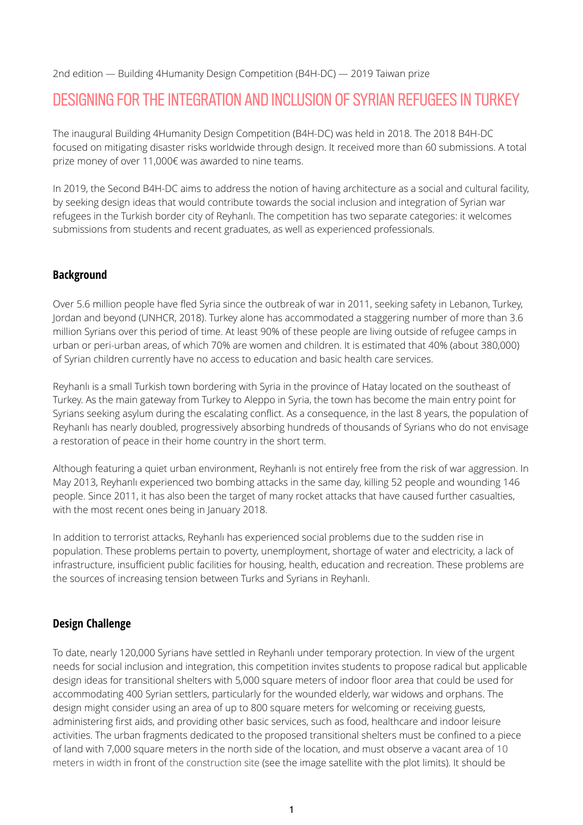2nd edition — Building 4Humanity Design Competition (B4H-DC) — 2019 Taiwan prize

# DESIGNING FOR THE INTEGRATION AND INCLUSION OF SYRIAN REFUGEES IN TURKEY

The inaugural Building 4Humanity Design Competition (B4H-DC) was held in 2018. The 2018 B4H-DC focused on mitigating disaster risks worldwide through design. It received more than 60 submissions. A total prize money of over 11,000€ was awarded to nine teams.

In 2019, the Second B4H-DC aims to address the notion of having architecture as a social and cultural facility, by seeking design ideas that would contribute towards the social inclusion and integration of Syrian war refugees in the Turkish border city of Reyhanlı. The competition has two separate categories: it welcomes submissions from students and recent graduates, as well as experienced professionals.

# **Background**

Over 5.6 million people have fled Syria since the outbreak of war in 2011, seeking safety in Lebanon, Turkey, Jordan and beyond (UNHCR, 2018). Turkey alone has accommodated a staggering number of more than 3.6 million Syrians over this period of time. At least 90% of these people are living outside of refugee camps in urban or peri-urban areas, of which 70% are women and children. It is estimated that 40% (about 380,000) of Syrian children currently have no access to education and basic health care services.

Reyhanlı is a small Turkish town bordering with Syria in the province of Hatay located on the southeast of Turkey. As the main gateway from Turkey to Aleppo in Syria, the town has become the main entry point for Syrians seeking asylum during the escalating conflict. As a consequence, in the last 8 years, the population of Reyhanlı has nearly doubled, progressively absorbing hundreds of thousands of Syrians who do not envisage a restoration of peace in their home country in the short term.

Although featuring a quiet urban environment, Reyhanlı is not entirely free from the risk of war aggression. In May 2013, Reyhanlı experienced two bombing attacks in the same day, killing 52 people and wounding 146 people. Since 2011, it has also been the target of many rocket attacks that have caused further casualties, with the most recent ones being in January 2018.

In addition to terrorist attacks, Reyhanlı has experienced social problems due to the sudden rise in population. These problems pertain to poverty, unemployment, shortage of water and electricity, a lack of infrastructure, insufficient public facilities for housing, health, education and recreation. These problems are the sources of increasing tension between Turks and Syrians in Reyhanlı.

# **Design Challenge**

To date, nearly 120,000 Syrians have settled in Reyhanlı under temporary protection. In view of the urgent needs for social inclusion and integration, this competition invites students to propose radical but applicable design ideas for transitional shelters with 5,000 square meters of indoor floor area that could be used for accommodating 400 Syrian settlers, particularly for the wounded elderly, war widows and orphans. The design might consider using an area of up to 800 square meters for welcoming or receiving guests, administering first aids, and providing other basic services, such as food, healthcare and indoor leisure activities. The urban fragments dedicated to the proposed transitional shelters must be confined to a piece of land with 7,000 square meters in the north side of the location, and must observe a vacant area of 10 meters in width in front of the construction site (see the image satellite with the plot limits). It should be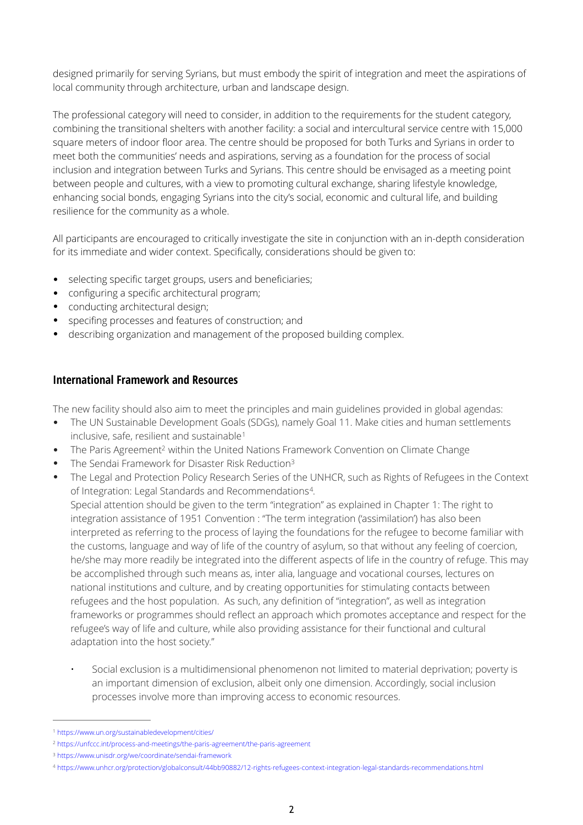designed primarily for serving Syrians, but must embody the spirit of integration and meet the aspirations of local community through architecture, urban and landscape design.

The professional category will need to consider, in addition to the requirements for the student category, combining the transitional shelters with another facility: a social and intercultural service centre with 15,000 square meters of indoor floor area. The centre should be proposed for both Turks and Syrians in order to meet both the communities' needs and aspirations, serving as a foundation for the process of social inclusion and integration between Turks and Syrians. This centre should be envisaged as a meeting point between people and cultures, with a view to promoting cultural exchange, sharing lifestyle knowledge, enhancing social bonds, engaging Syrians into the city's social, economic and cultural life, and building resilience for the community as a whole.

All participants are encouraged to critically investigate the site in conjunction with an in-depth consideration for its immediate and wider context. Specifically, considerations should be given to:

- selecting specific target groups, users and beneficiaries;
- configuring a specific architectural program;
- conducting architectural design;
- specifing processes and features of construction; and
- describing organization and management of the proposed building complex.

## **International Framework and Resources**

The new facility should also aim to meet the principles and main guidelines provided in global agendas:

- The UN Sustainable Development Goals (SDGs), namely Goal 11. Make cities and human settlements inclusive, safe, resilient and sustainable<sup>[1](#page-1-0)</sup>
- <span id="page-1-5"></span>The Paris Agreemen[t](#page-1-1)<sup>2</sup> within the United Nations Framework Convention on Climate Change
- The Sendai Framework for Disaster Risk Reduction<sup>3</sup>
- The Legal and Protection Policy Research Series of the UNHCR, such as Rights of Refugees in the Context of Integration: Legal Standards and Recommendations<sup>[4](#page-1-3)</sup>.

<span id="page-1-7"></span><span id="page-1-6"></span><span id="page-1-4"></span>Special attention should be given to the term "integration" as explained in Chapter 1: The right to integration assistance of 1951 Convention : "The term integration ('assimilation') has also been interpreted as referring to the process of laying the foundations for the refugee to become familiar with the customs, language and way of life of the country of asylum, so that without any feeling of coercion, he/she may more readily be integrated into the different aspects of life in the country of refuge. This may be accomplished through such means as, inter alia, language and vocational courses, lectures on national institutions and culture, and by creating opportunities for stimulating contacts between refugees and the host population. As such, any definition of "integration", as well as integration frameworks or programmes should reflect an approach which promotes acceptance and respect for the refugee's way of life and culture, while also providing assistance for their functional and cultural adaptation into the host society."

• Social exclusion is a multidimensional phenomenon not limited to material deprivation; poverty is an important dimension of exclusion, albeit only one dimension. Accordingly, social inclusion processes involve more than improving access to economic resources.

<span id="page-1-0"></span><https://www.un.org/sustainabledevelopment/cities/> [1](#page-1-4)

<span id="page-1-1"></span><https://unfccc.int/process-and-meetings/the-paris-agreement/the-paris-agreement> [2](#page-1-5)

<span id="page-1-2"></span><sup>&</sup>lt;sup>3</sup> <https://www.unisdr.org/we/coordinate/sendai-framework>

<span id="page-1-3"></span>https://www.unhcr.org/protection/globalconsult/44bb90882/12-rights-refugees-context-integration-legal-standards-recommendations.html [4](#page-1-7)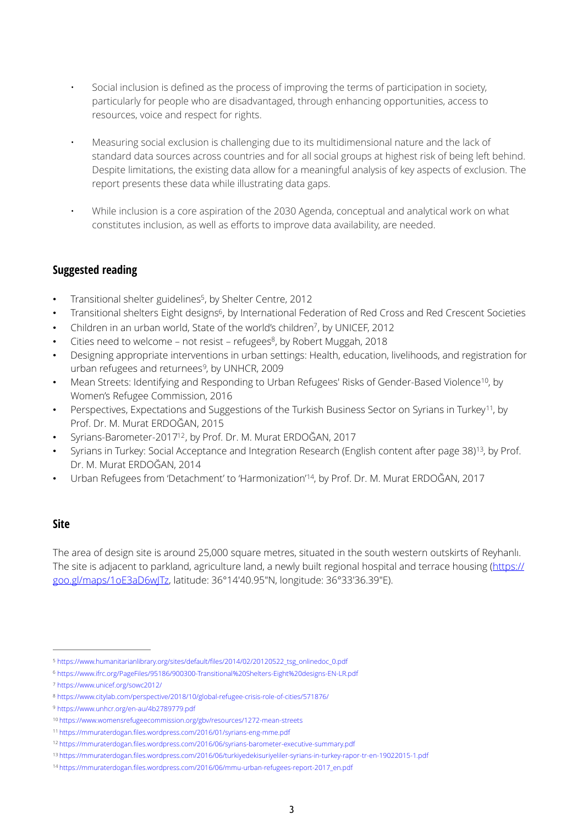- Social inclusion is defined as the process of improving the terms of participation in society, particularly for people who are disadvantaged, through enhancing opportunities, access to resources, voice and respect for rights.
- Measuring social exclusion is challenging due to its multidimensional nature and the lack of standard data sources across countries and for all social groups at highest risk of being left behind. Despite limitations, the existing data allow for a meaningful analysis of key aspects of exclusion. The report presents these data while illustrating data gaps.
- While inclusion is a core aspiration of the 2030 Agenda, conceptual and analytical work on what constitutes inclusion, as well as efforts to improve data availability, are needed.

## **Suggested reading**

- <span id="page-2-11"></span><span id="page-2-10"></span>Transitional shelter guidelines<sup>5</sup>[,](#page-2-0) by Shelter Centre, 2012
- Transitional shelters Eight designs<sup>[6](#page-2-1)</sup>, by International Federation of Red Cross and Red Crescent Societies
- <span id="page-2-12"></span>Children in an urban world, State of the world's children<sup>[7](#page-2-2)</sup>, by UNICEF, 2012
- <span id="page-2-13"></span>Cities need to welcome – not resist – refugees<sup>[8](#page-2-3)</sup>, by Robert Muggah, 2018
- <span id="page-2-14"></span>• Designing appropriate interventions in urban settings: Health, education, livelihoods, and registration for urban refugees and returnees<sup>[9](#page-2-4)</sup>, by UNHCR, 2009
- <span id="page-2-15"></span>Mean Streets: Identifying and Responding to Urban Refugees' Risks of Gender-Based Violence<sup>[10](#page-2-5)</sup>, by Women's Refugee Commission, 2016
- <span id="page-2-16"></span>• Perspectives, Expectations and Suggestions of the Turkish Business Sector on Syrians in Turkey<sup>[11](#page-2-6)</sup>, by Prof. Dr. M. Murat ERDOĞAN, 2015
- <span id="page-2-17"></span>Syrians-Barometer-2017<sup>[12](#page-2-7)</sup>, by Prof. Dr. M. Murat ERDOĞAN, 2017
- <span id="page-2-18"></span>Syrians in Turkey: Social Acceptance and Integration Research (English content after page 38)<sup>[13](#page-2-8)</sup>, by Prof. Dr. M. Murat ERDOĞAN, 2014
- <span id="page-2-19"></span>Urban Refugees from 'Detachment' to 'Harmonization'<sup>[14](#page-2-9)</sup>, by Prof. Dr. M. Murat ERDOĞAN, 2017

## **Site**

The area of design site is around 25,000 square metres, situated in the south western outskirts of Reyhanlı. The site is adjacent to parkland, agriculture land, a newly built regional hospital and terrace housing ([https://](https://goo.gl/maps/1oE3aD6wJTz) [goo.gl/maps/1oE3aD6wJTz](https://goo.gl/maps/1oE3aD6wJTz), latitude: 36°14'40.95"N, longitude: 36°33'36.39"E).

<span id="page-2-0"></span>[https://www.humanitarianlibrary.org/sites/default/](https://www.humanitarianlibrary.org/sites/default/files/2014/02/20120522_tsg_onlinedoc_0.pdf)files/2014/02/20120522\_tsg\_onlinedoc\_0.pdf [5](#page-2-10)

<span id="page-2-1"></span>https://www.ifrc.org/PageFiles/95186/900300-Transitional%20Shelters-Eight%20designs-EN-LR.pdf [6](#page-2-11)

<span id="page-2-2"></span><https://www.unicef.org/sowc2012/> [7](#page-2-12)

<span id="page-2-3"></span><https://www.citylab.com/perspective/2018/10/global-refugee-crisis-role-of-cities/571876/> [8](#page-2-13)

<span id="page-2-4"></span><https://www.unhcr.org/en-au/4b2789779.pdf> [9](#page-2-14)

<span id="page-2-5"></span><sup>&</sup>lt;sup>10</sup> <https://www.womensrefugeecommission.org/gbv/resources/1272-mean-streets>

<span id="page-2-6"></span>https://mmuraterdogan.fi[les.wordpress.com/2016/01/syrians-eng-mme.pdf](https://mmuraterdogan.files.wordpress.com/2016/01/syrians-eng-mme.pdf) [11](#page-2-16)

<span id="page-2-7"></span><sup>&</sup>lt;sup>12</sup> https://mmuraterdogan.fi[les.wordpress.com/2016/06/syrians-barometer-executive-summary.pdf](https://mmuraterdogan.files.wordpress.com/2016/06/syrians-barometer-executive-summary.pdf)

<span id="page-2-8"></span>https://mmuraterdogan.fi[les.wordpress.com/2016/06/turkiyedekisuriyeliler-syrians-in-turkey-rapor-tr-en-19022015-1.pdf](https://mmuraterdogan.files.wordpress.com/2016/06/turkiyedekisuriyeliler-syrians-in-turkey-rapor-tr-en-19022015-1.pdf) [13](#page-2-18)

<span id="page-2-9"></span><sup>&</sup>lt;sup>14</sup> https://mmuraterdogan.fi[les.wordpress.com/2016/06/mmu-urban-refugees-report-2017\\_en.pdf](https://mmuraterdogan.files.wordpress.com/2016/06/mmu-urban-refugees-report-2017_en.pdf)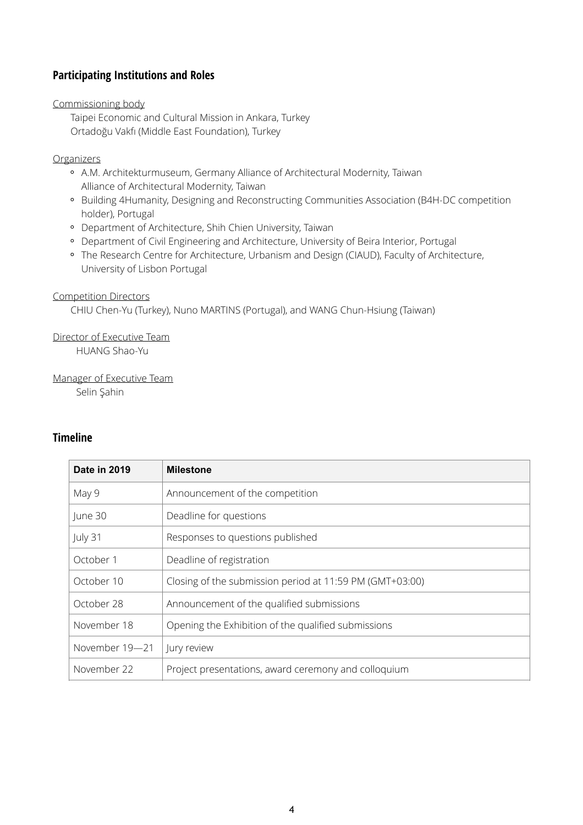# **Participating Institutions and Roles**

Commissioning body

Taipei Economic and Cultural Mission in Ankara, Turkey Ortadoğu Vakfı (Middle East Foundation), Turkey

#### Organizers

- A.M. Architekturmuseum, Germany Alliance of Architectural Modernity, Taiwan Alliance of Architectural Modernity, Taiwan
- Building 4Humanity, Designing and Reconstructing Communities Association (B4H-DC competition holder), Portugal
- Department of Architecture, Shih Chien University, Taiwan
- Department of Civil Engineering and Architecture, University of Beira Interior, Portugal
- The Research Centre for Architecture, Urbanism and Design (CIAUD), Faculty of Architecture, University of Lisbon Portugal

#### Competition Directors

CHIU Chen-Yu (Turkey), Nuno MARTINS (Portugal), and WANG Chun-Hsiung (Taiwan)

Director of Executive Team

HUANG Shao-Yu

Manager of Executive Team

Selin Şahin

## **Timeline**

| Date in 2019   | <b>Milestone</b>                                         |
|----------------|----------------------------------------------------------|
| May 9          | Announcement of the competition                          |
| June 30        | Deadline for questions                                   |
| July 31        | Responses to questions published                         |
| October 1      | Deadline of registration                                 |
| October 10     | Closing of the submission period at 11:59 PM (GMT+03:00) |
| October 28     | Announcement of the qualified submissions                |
| November 18    | Opening the Exhibition of the qualified submissions      |
| November 19-21 | Jury review                                              |
| November 22    | Project presentations, award ceremony and colloquium     |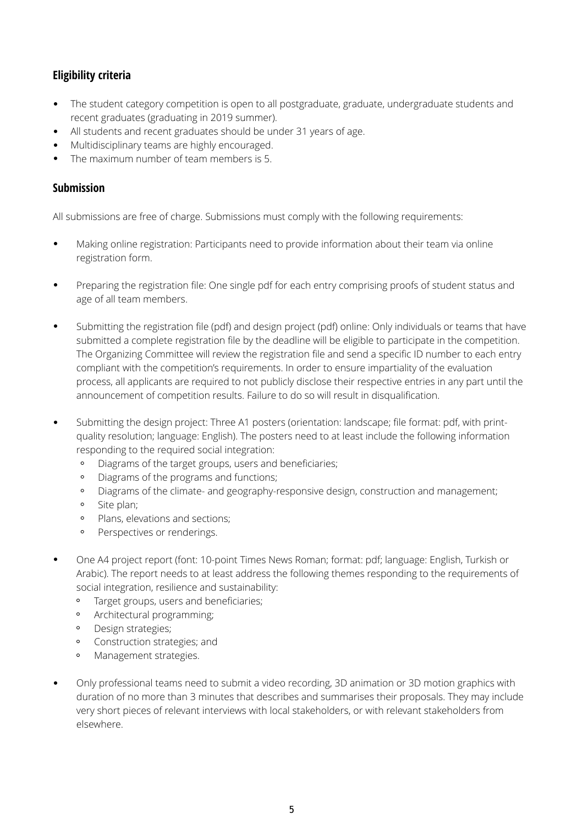# **Eligibility criteria**

- The student category competition is open to all postgraduate, graduate, undergraduate students and recent graduates (graduating in 2019 summer).
- All students and recent graduates should be under 31 years of age.
- Multidisciplinary teams are highly encouraged.
- The maximum number of team members is 5.

# **Submission**

All submissions are free of charge. Submissions must comply with the following requirements:

- Making online registration: Participants need to provide information about their team via online registration form.
- Preparing the registration file: One single pdf for each entry comprising proofs of student status and age of all team members.
- Submitting the registration file (pdf) and design project (pdf) online: Only individuals or teams that have submitted a complete registration file by the deadline will be eligible to participate in the competition. The Organizing Committee will review the registration file and send a specific ID number to each entry compliant with the competition's requirements. In order to ensure impartiality of the evaluation process, all applicants are required to not publicly disclose their respective entries in any part until the announcement of competition results. Failure to do so will result in disqualification.
- Submitting the design project: Three A1 posters (orientation: landscape; file format: pdf, with printquality resolution; language: English). The posters need to at least include the following information responding to the required social integration:
	- Diagrams of the target groups, users and beneficiaries;  $\circ$
	- Diagrams of the programs and functions;  $\circ$
	- $\circ$ Diagrams of the climate- and geography-responsive design, construction and management;
	- Site plan;
	- Plans, elevations and sections;
	- $\circ$ Perspectives or renderings.
- One A4 project report (font: 10-point Times News Roman; format: pdf; language: English, Turkish or Arabic). The report needs to at least address the following themes responding to the requirements of social integration, resilience and sustainability:
	- $\circ$ Target groups, users and beneficiaries;
	- $\circ$ Architectural programming;
	- Design strategies;
	- $\circ$ Construction strategies; and
	- $\circ$ Management strategies.
- Only professional teams need to submit a video recording, 3D animation or 3D motion graphics with duration of no more than 3 minutes that describes and summarises their proposals. They may include very short pieces of relevant interviews with local stakeholders, or with relevant stakeholders from elsewhere.